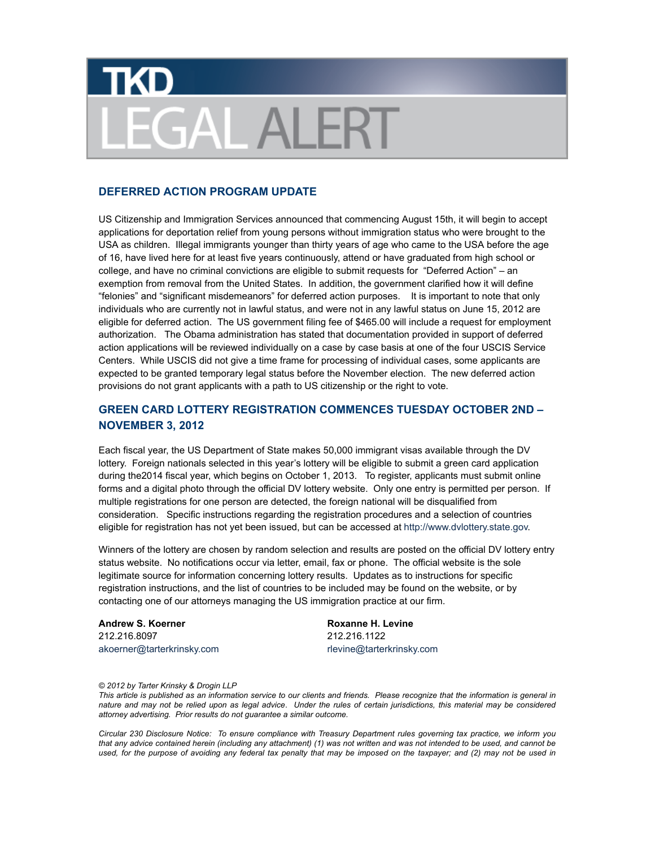## **TKD ALALER**

## **DEFERRED ACTION PROGRAM UPDATE**

US Citizenship and Immigration Services announced that commencing August 15th, it will begin to accept applications for deportation relief from young persons without immigration status who were brought to the USA as children. Illegal immigrants younger than thirty years of age who came to the USA before the age of 16, have lived here for at least five years continuously, attend or have graduated from high school or college, and have no criminal convictions are eligible to submit requests for "Deferred Action" – an exemption from removal from the United States. In addition, the government clarified how it will define "felonies" and "significant misdemeanors" for deferred action purposes. It is important to note that only individuals who are currently not in lawful status, and were not in any lawful status on June 15, 2012 are eligible for deferred action. The US government filing fee of \$465.00 will include a request for employment authorization. The Obama administration has stated that documentation provided in support of deferred action applications will be reviewed individually on a case by case basis at one of the four USCIS Service Centers. While USCIS did not give a time frame for processing of individual cases, some applicants are expected to be granted temporary legal status before the November election. The new deferred action provisions do not grant applicants with a path to US citizenship or the right to vote.

## **GREEN CARD LOTTERY REGISTRATION COMMENCES TUESDAY OCTOBER 2ND – NOVEMBER 3, 2012**

Each fiscal year, the US Department of State makes 50,000 immigrant visas available through the DV lottery. Foreign nationals selected in this year's lottery will be eligible to submit a green card application during the2014 fiscal year, which begins on October 1, 2013. To register, applicants must submit online forms and a digital photo through the official DV lottery website. Only one entry is permitted per person. If multiple registrations for one person are detected, the foreign national will be disqualified from consideration. Specific instructions regarding the registration procedures and a selection of countries eligible for registration has not yet been issued, but can be accessed at http://www.dvlottery.state.gov.

Winners of the lottery are chosen by random selection and results are posted on the official DV lottery entry status website. No notifications occur via letter, email, fax or phone. The official website is the sole legitimate source for information concerning lottery results. Updates as to instructions for specific registration instructions, and the list of countries to be included may be found on the website, or by contacting one of our attorneys managing the US immigration practice at our firm.

## **Andrew S. Koerner** 212.216.8097 akoerner@tarterkrinsky.com

**Roxanne H. Levine** 212.216.1122 rlevine@tarterkrinsky.com

*© 2012 by Tarter Krinsky & Drogin LLP*

*This article is published as an information service to our clients and friends. Please recognize that the information is general in nature and may not be relied upon as legal advice*. *Under the rules of certain jurisdictions, this material may be considered attorney advertising. Prior results do not guarantee a similar outcome.*

*Circular 230 Disclosure Notice: To ensure compliance with Treasury Department rules governing tax practice, we inform you that any advice contained herein (including any attachment) (1) was not written and was not intended to be used, and cannot be used, for the purpose of avoiding any federal tax penalty that may be imposed on the taxpayer; and (2) may not be used in*